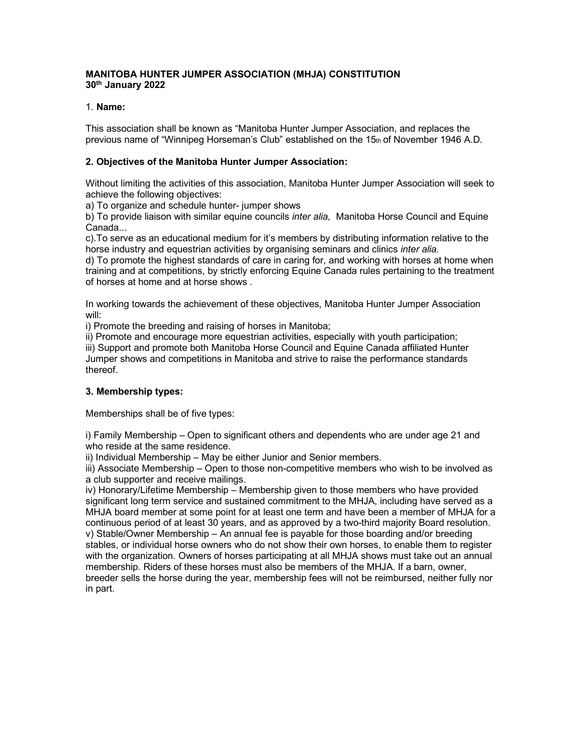# **MANITOBA HUNTER JUMPER ASSOCIATION (MHJA) CONSTITUTION 30th January 2022**

## 1. **Name:**

This association shall be known as "Manitoba Hunter Jumper Association, and replaces the previous name of "Winnipeg Horseman's Club" established on the 15th of November 1946 A.D.

## **2. Objectives of the Manitoba Hunter Jumper Association:**

Without limiting the activities of this association, Manitoba Hunter Jumper Association will seek to achieve the following objectives:

a) To organize and schedule hunter- jumper shows

b) To provide liaison with similar equine councils *inter alia,* Manitoba Horse Council and Equine Canada...

c).To serve as an educational medium for it's members by distributing information relative to the horse industry and equestrian activities by organising seminars and clinics *inter alia.*

d) To promote the highest standards of care in caring for, and working with horses at home when training and at competitions, by strictly enforcing Equine Canada rules pertaining to the treatment of horses at home and at horse shows .

In working towards the achievement of these objectives, Manitoba Hunter Jumper Association will:

i) Promote the breeding and raising of horses in Manitoba;

ii) Promote and encourage more equestrian activities, especially with youth participation; iii) Support and promote both Manitoba Horse Council and Equine Canada affiliated Hunter Jumper shows and competitions in Manitoba and strive to raise the performance standards thereof.

# **3. Membership types:**

Memberships shall be of five types:

i) Family Membership – Open to significant others and dependents who are under age 21 and who reside at the same residence.

ii) Individual Membership – May be either Junior and Senior members.

iii) Associate Membership – Open to those non-competitive members who wish to be involved as a club supporter and receive mailings.

iv) Honorary/Lifetime Membership – Membership given to those members who have provided significant long term service and sustained commitment to the MHJA, including have served as a MHJA board member at some point for at least one term and have been a member of MHJA for a continuous period of at least 30 years, and as approved by a two-third majority Board resolution. v) Stable/Owner Membership – An annual fee is payable for those boarding and/or breeding stables, or individual horse owners who do not show their own horses, to enable them to register with the organization. Owners of horses participating at all MHJA shows must take out an annual membership. Riders of these horses must also be members of the MHJA. If a barn, owner, breeder sells the horse during the year, membership fees will not be reimbursed, neither fully nor in part.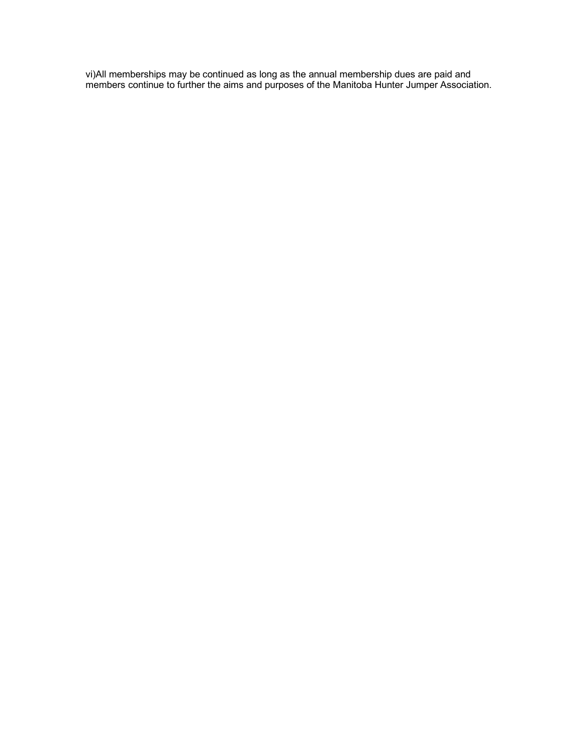vi)All memberships may be continued as long as the annual membership dues are paid and members continue to further the aims and purposes of the Manitoba Hunter Jumper Association.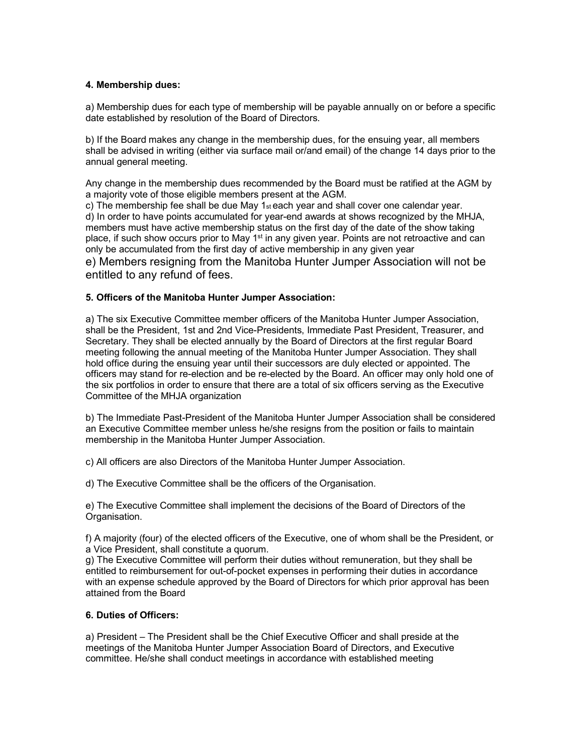## **4. Membership dues:**

a) Membership dues for each type of membership will be payable annually on or before a specific date established by resolution of the Board of Directors.

b) If the Board makes any change in the membership dues, for the ensuing year, all members shall be advised in writing (either via surface mail or/and email) of the change 14 days prior to the annual general meeting.

Any change in the membership dues recommended by the Board must be ratified at the AGM by a majority vote of those eligible members present at the AGM.

c) The membership fee shall be due May  $1_{st}$  each year and shall cover one calendar year. d) In order to have points accumulated for year-end awards at shows recognized by the MHJA, members must have active membership status on the first day of the date of the show taking place, if such show occurs prior to May  $1<sup>st</sup>$  in any given year. Points are not retroactive and can only be accumulated from the first day of active membership in any given year

e) Members resigning from the Manitoba Hunter Jumper Association will not be entitled to any refund of fees.

## **5. Officers of the Manitoba Hunter Jumper Association:**

a) The six Executive Committee member officers of the Manitoba Hunter Jumper Association, shall be the President, 1st and 2nd Vice-Presidents, Immediate Past President, Treasurer, and Secretary. They shall be elected annually by the Board of Directors at the first regular Board meeting following the annual meeting of the Manitoba Hunter Jumper Association. They shall hold office during the ensuing year until their successors are duly elected or appointed. The officers may stand for re-election and be re-elected by the Board. An officer may only hold one of the six portfolios in order to ensure that there are a total of six officers serving as the Executive Committee of the MHJA organization

b) The Immediate Past-President of the Manitoba Hunter Jumper Association shall be considered an Executive Committee member unless he/she resigns from the position or fails to maintain membership in the Manitoba Hunter Jumper Association.

c) All officers are also Directors of the Manitoba Hunter Jumper Association.

d) The Executive Committee shall be the officers of the Organisation.

e) The Executive Committee shall implement the decisions of the Board of Directors of the Organisation.

f) A majority (four) of the elected officers of the Executive, one of whom shall be the President, or a Vice President, shall constitute a quorum.

g) The Executive Committee will perform their duties without remuneration, but they shall be entitled to reimbursement for out-of-pocket expenses in performing their duties in accordance with an expense schedule approved by the Board of Directors for which prior approval has been attained from the Board

### **6. Duties of Officers:**

a) President – The President shall be the Chief Executive Officer and shall preside at the meetings of the Manitoba Hunter Jumper Association Board of Directors, and Executive committee. He/she shall conduct meetings in accordance with established meeting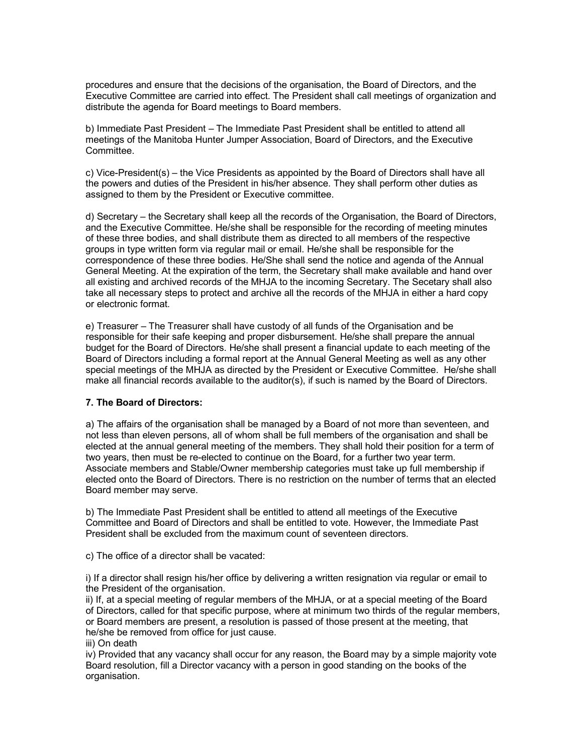procedures and ensure that the decisions of the organisation, the Board of Directors, and the Executive Committee are carried into effect. The President shall call meetings of organization and distribute the agenda for Board meetings to Board members.

b) Immediate Past President – The Immediate Past President shall be entitled to attend all meetings of the Manitoba Hunter Jumper Association, Board of Directors, and the Executive Committee.

c) Vice-President(s) – the Vice Presidents as appointed by the Board of Directors shall have all the powers and duties of the President in his/her absence. They shall perform other duties as assigned to them by the President or Executive committee.

d) Secretary – the Secretary shall keep all the records of the Organisation, the Board of Directors, and the Executive Committee. He/she shall be responsible for the recording of meeting minutes of these three bodies, and shall distribute them as directed to all members of the respective groups in type written form via regular mail or email. He/she shall be responsible for the correspondence of these three bodies. He/She shall send the notice and agenda of the Annual General Meeting. At the expiration of the term, the Secretary shall make available and hand over all existing and archived records of the MHJA to the incoming Secretary. The Secetary shall also take all necessary steps to protect and archive all the records of the MHJA in either a hard copy or electronic format.

e) Treasurer – The Treasurer shall have custody of all funds of the Organisation and be responsible for their safe keeping and proper disbursement. He/she shall prepare the annual budget for the Board of Directors. He/she shall present a financial update to each meeting of the Board of Directors including a formal report at the Annual General Meeting as well as any other special meetings of the MHJA as directed by the President or Executive Committee. He/she shall make all financial records available to the auditor(s), if such is named by the Board of Directors.

### **7. The Board of Directors:**

a) The affairs of the organisation shall be managed by a Board of not more than seventeen, and not less than eleven persons, all of whom shall be full members of the organisation and shall be elected at the annual general meeting of the members. They shall hold their position for a term of two years, then must be re-elected to continue on the Board, for a further two year term. Associate members and Stable/Owner membership categories must take up full membership if elected onto the Board of Directors. There is no restriction on the number of terms that an elected Board member may serve.

b) The Immediate Past President shall be entitled to attend all meetings of the Executive Committee and Board of Directors and shall be entitled to vote. However, the Immediate Past President shall be excluded from the maximum count of seventeen directors.

c) The office of a director shall be vacated:

i) If a director shall resign his/her office by delivering a written resignation via regular or email to the President of the organisation.

ii) If, at a special meeting of regular members of the MHJA, or at a special meeting of the Board of Directors, called for that specific purpose, where at minimum two thirds of the regular members, or Board members are present, a resolution is passed of those present at the meeting, that he/she be removed from office for just cause.

iii) On death

iv) Provided that any vacancy shall occur for any reason, the Board may by a simple majority vote Board resolution, fill a Director vacancy with a person in good standing on the books of the organisation.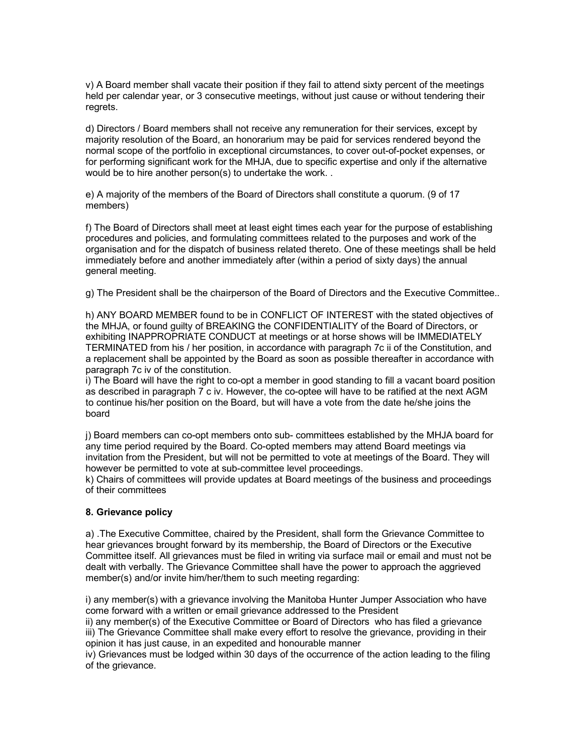v) A Board member shall vacate their position if they fail to attend sixty percent of the meetings held per calendar year, or 3 consecutive meetings, without just cause or without tendering their regrets.

d) Directors / Board members shall not receive any remuneration for their services, except by majority resolution of the Board, an honorarium may be paid for services rendered beyond the normal scope of the portfolio in exceptional circumstances, to cover out-of-pocket expenses, or for performing significant work for the MHJA, due to specific expertise and only if the alternative would be to hire another person(s) to undertake the work. .

e) A majority of the members of the Board of Directors shall constitute a quorum. (9 of 17 members)

f) The Board of Directors shall meet at least eight times each year for the purpose of establishing procedures and policies, and formulating committees related to the purposes and work of the organisation and for the dispatch of business related thereto. One of these meetings shall be held immediately before and another immediately after (within a period of sixty days) the annual general meeting.

g) The President shall be the chairperson of the Board of Directors and the Executive Committee..

h) ANY BOARD MEMBER found to be in CONFLICT OF INTEREST with the stated objectives of the MHJA, or found guilty of BREAKING the CONFIDENTIALITY of the Board of Directors, or exhibiting INAPPROPRIATE CONDUCT at meetings or at horse shows will be IMMEDIATELY TERMINATED from his / her position, in accordance with paragraph 7c ii of the Constitution, and a replacement shall be appointed by the Board as soon as possible thereafter in accordance with paragraph 7c iv of the constitution.

i) The Board will have the right to co-opt a member in good standing to fill a vacant board position as described in paragraph 7 c iv. However, the co-optee will have to be ratified at the next AGM to continue his/her position on the Board, but will have a vote from the date he/she joins the board

j) Board members can co-opt members onto sub- committees established by the MHJA board for any time period required by the Board. Co-opted members may attend Board meetings via invitation from the President, but will not be permitted to vote at meetings of the Board. They will however be permitted to vote at sub-committee level proceedings.

k) Chairs of committees will provide updates at Board meetings of the business and proceedings of their committees

### **8. Grievance policy**

a) .The Executive Committee, chaired by the President, shall form the Grievance Committee to hear grievances brought forward by its membership, the Board of Directors or the Executive Committee itself. All grievances must be filed in writing via surface mail or email and must not be dealt with verbally. The Grievance Committee shall have the power to approach the aggrieved member(s) and/or invite him/her/them to such meeting regarding:

i) any member(s) with a grievance involving the Manitoba Hunter Jumper Association who have come forward with a written or email grievance addressed to the President

ii) any member(s) of the Executive Committee or Board of Directors who has filed a grievance iii) The Grievance Committee shall make every effort to resolve the grievance, providing in their opinion it has just cause, in an expedited and honourable manner

iv) Grievances must be lodged within 30 days of the occurrence of the action leading to the filing of the grievance.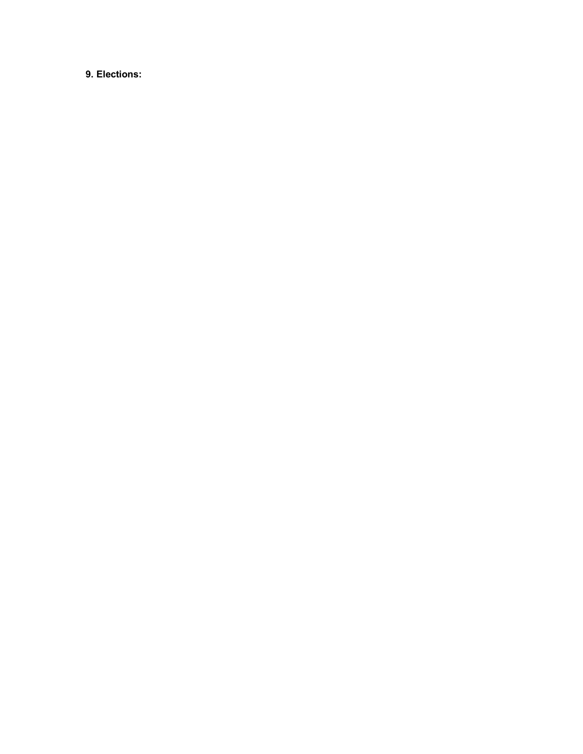**9. Elections:**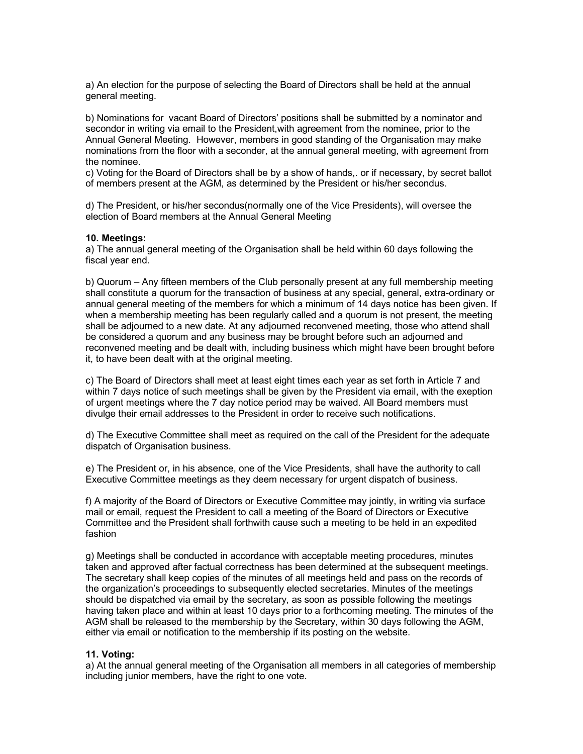a) An election for the purpose of selecting the Board of Directors shall be held at the annual general meeting.

b) Nominations for vacant Board of Directors' positions shall be submitted by a nominator and secondor in writing via email to the President,with agreement from the nominee, prior to the Annual General Meeting. However, members in good standing of the Organisation may make nominations from the floor with a seconder, at the annual general meeting, with agreement from the nominee.

c) Voting for the Board of Directors shall be by a show of hands,. or if necessary, by secret ballot of members present at the AGM, as determined by the President or his/her secondus.

d) The President, or his/her secondus(normally one of the Vice Presidents), will oversee the election of Board members at the Annual General Meeting

#### **10. Meetings:**

a) The annual general meeting of the Organisation shall be held within 60 days following the fiscal year end.

b) Quorum – Any fifteen members of the Club personally present at any full membership meeting shall constitute a quorum for the transaction of business at any special, general, extra-ordinary or annual general meeting of the members for which a minimum of 14 days notice has been given. If when a membership meeting has been regularly called and a quorum is not present, the meeting shall be adjourned to a new date. At any adjourned reconvened meeting, those who attend shall be considered a quorum and any business may be brought before such an adjourned and reconvened meeting and be dealt with, including business which might have been brought before it, to have been dealt with at the original meeting.

c) The Board of Directors shall meet at least eight times each year as set forth in Article 7 and within 7 days notice of such meetings shall be given by the President via email, with the exeption of urgent meetings where the 7 day notice period may be waived. All Board members must divulge their email addresses to the President in order to receive such notifications.

d) The Executive Committee shall meet as required on the call of the President for the adequate dispatch of Organisation business.

e) The President or, in his absence, one of the Vice Presidents, shall have the authority to call Executive Committee meetings as they deem necessary for urgent dispatch of business.

f) A majority of the Board of Directors or Executive Committee may jointly, in writing via surface mail or email, request the President to call a meeting of the Board of Directors or Executive Committee and the President shall forthwith cause such a meeting to be held in an expedited fashion

g) Meetings shall be conducted in accordance with acceptable meeting procedures, minutes taken and approved after factual correctness has been determined at the subsequent meetings. The secretary shall keep copies of the minutes of all meetings held and pass on the records of the organization's proceedings to subsequently elected secretaries. Minutes of the meetings should be dispatched via email by the secretary, as soon as possible following the meetings having taken place and within at least 10 days prior to a forthcoming meeting. The minutes of the AGM shall be released to the membership by the Secretary, within 30 days following the AGM, either via email or notification to the membership if its posting on the website.

### **11. Voting:**

a) At the annual general meeting of the Organisation all members in all categories of membership including junior members, have the right to one vote.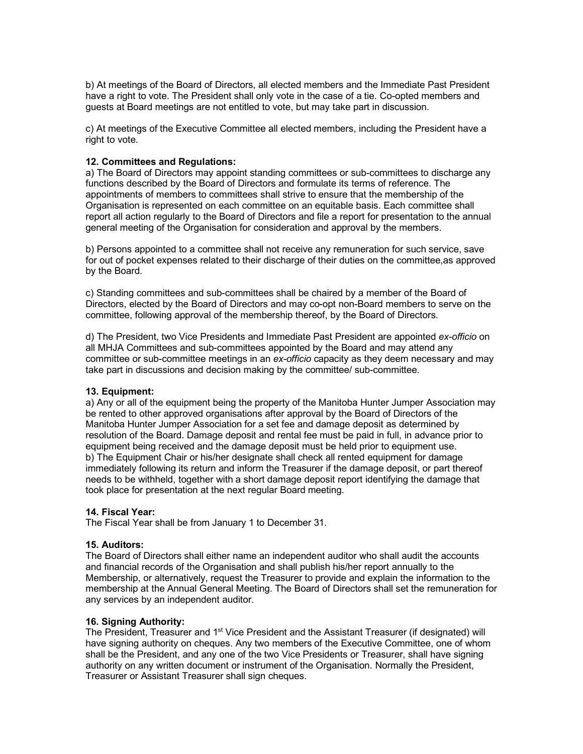b) At meetings of the Board of Directors, all elected members and the Immediate Past President have a right to vote. The President shall only vote in the case of a tie. Co-opted members and guests at Board meetings are not entitled to vote, but may take part in discussion.

c) At meetings of the Executive Committee all elected members, including the President have a right to vote.

### **12. Committees and Regulations:**

a) The Board of Directors may appoint standing committees or sub-committees to discharge any functions described by the Board of Directors and formulate its terms of reference. The appointments of members to committees shall strive to ensure that the membership of the Organisation is represented on each committee on an equitable basis. Each committee shall report all action regularly to the Board of Directors and file a report for presentation to the annual general meeting of the Organisation for consideration and approval by the members.

b) Persons appointed to a committee shall not receive any remuneration for such service, save for out of pocket expenses related to their discharge of their duties on the committee,as approved by the Board.

c) Standing committees and sub-committees shall be chaired by a member of the Board of Directors, elected by the Board of Directors and may co-opt non-Board members to serve on the committee, following approval of the membership thereof, by the Board of Directors.

d) The President, two Vice Presidents and Immediate Past President are appointed *ex-officio* on all MHJA Committees and sub-committees appointed by the Board and may attend any committee or sub-committee meetings in an *ex-officio* capacity as they deem necessary and may take part in discussions and decision making by the committee/ sub-committee.

#### **13. Equipment:**

a) Any or all of the equipment being the property of the Manitoba Hunter Jumper Association may be rented to other approved organisations after approval by the Board of Directors of the Manitoba Hunter Jumper Association for a set fee and damage deposit as determined by resolution of the Board. Damage deposit and rental fee must be paid in full, in advance prior to equipment being received and the damage deposit must be held prior to equipment use. b) The Equipment Chair or his/her designate shall check all rented equipment for damage immediately following its return and inform the Treasurer if the damage deposit, or part thereof needs to be withheld, together with a short damage deposit report identifying the damage that took place for presentation at the next regular Board meeting.

#### **14. Fiscal Year:**

The Fiscal Year shall be from January 1 to December 31.

#### **15. Auditors:**

The Board of Directors shall either name an independent auditor who shall audit the accounts and financial records of the Organisation and shall publish his/her report annually to the Membership, or alternatively, request the Treasurer to provide and explain the information to the membership at the Annual General Meeting. The Board of Directors shall set the remuneration for any services by an independent auditor.

### **16. Signing Authority:**

The President, Treasurer and 1<sup>st</sup> Vice President and the Assistant Treasurer (if designated) will have signing authority on cheques. Any two members of the Executive Committee, one of whom shall be the President, and any one of the two Vice Presidents or Treasurer, shall have signing authority on any written document or instrument of the Organisation. Normally the President, Treasurer or Assistant Treasurer shall sign cheques.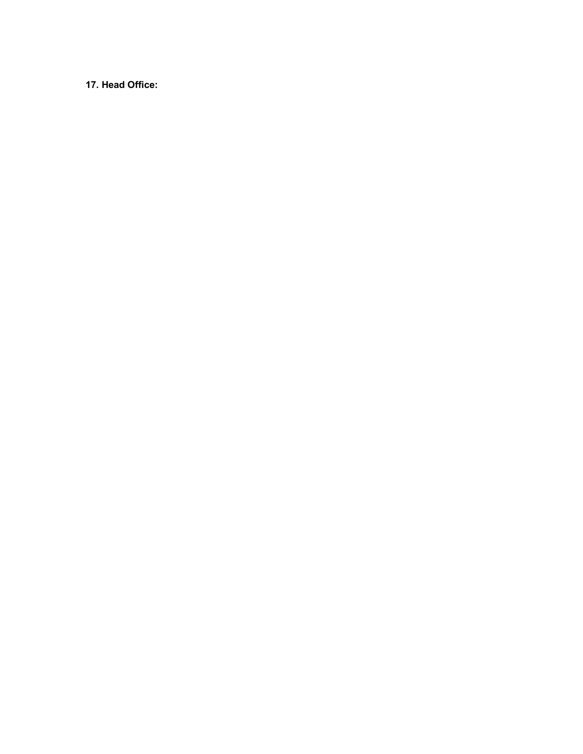**17. Head Office:**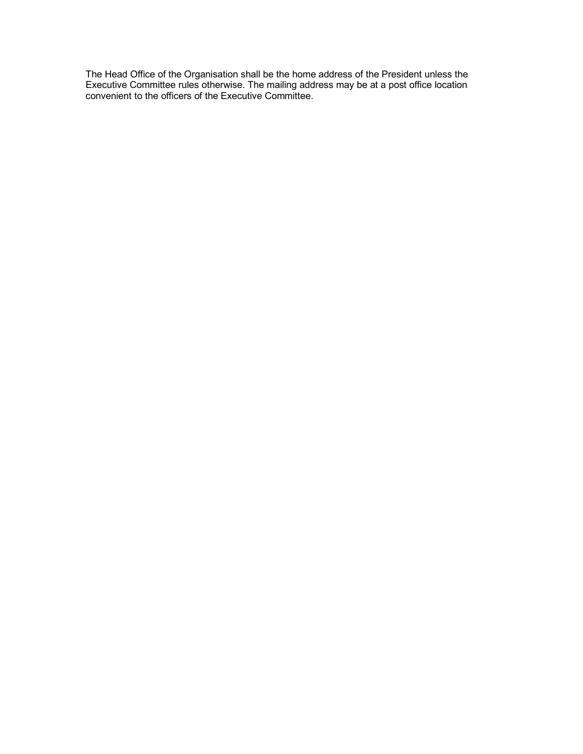The Head Office of the Organisation shall be the home address of the President unless the Executive Committee rules otherwise. The mailing address may be at a post office location convenient to the officers of the Executive Committee.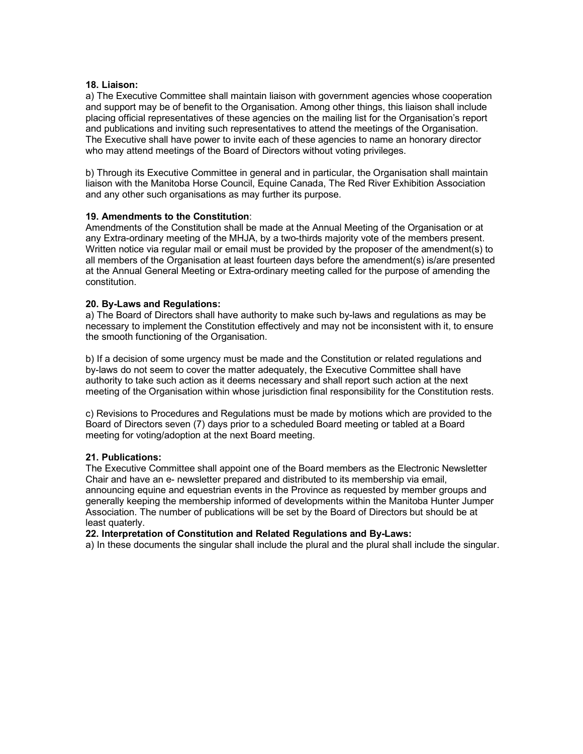### **18. Liaison:**

a) The Executive Committee shall maintain liaison with government agencies whose cooperation and support may be of benefit to the Organisation. Among other things, this liaison shall include placing official representatives of these agencies on the mailing list for the Organisation's report and publications and inviting such representatives to attend the meetings of the Organisation. The Executive shall have power to invite each of these agencies to name an honorary director who may attend meetings of the Board of Directors without voting privileges.

b) Through its Executive Committee in general and in particular, the Organisation shall maintain liaison with the Manitoba Horse Council, Equine Canada, The Red River Exhibition Association and any other such organisations as may further its purpose.

### **19. Amendments to the Constitution**:

Amendments of the Constitution shall be made at the Annual Meeting of the Organisation or at any Extra-ordinary meeting of the MHJA, by a two-thirds majority vote of the members present. Written notice via regular mail or email must be provided by the proposer of the amendment(s) to all members of the Organisation at least fourteen days before the amendment(s) is/are presented at the Annual General Meeting or Extra-ordinary meeting called for the purpose of amending the constitution.

### **20. By-Laws and Regulations:**

a) The Board of Directors shall have authority to make such by-laws and regulations as may be necessary to implement the Constitution effectively and may not be inconsistent with it, to ensure the smooth functioning of the Organisation.

b) If a decision of some urgency must be made and the Constitution or related regulations and by-laws do not seem to cover the matter adequately, the Executive Committee shall have authority to take such action as it deems necessary and shall report such action at the next meeting of the Organisation within whose jurisdiction final responsibility for the Constitution rests.

c) Revisions to Procedures and Regulations must be made by motions which are provided to the Board of Directors seven (7) days prior to a scheduled Board meeting or tabled at a Board meeting for voting/adoption at the next Board meeting.

### **21. Publications:**

The Executive Committee shall appoint one of the Board members as the Electronic Newsletter Chair and have an e- newsletter prepared and distributed to its membership via email, announcing equine and equestrian events in the Province as requested by member groups and generally keeping the membership informed of developments within the Manitoba Hunter Jumper Association. The number of publications will be set by the Board of Directors but should be at least quaterly.

### **22. Interpretation of Constitution and Related Regulations and By-Laws:**

a) In these documents the singular shall include the plural and the plural shall include the singular.